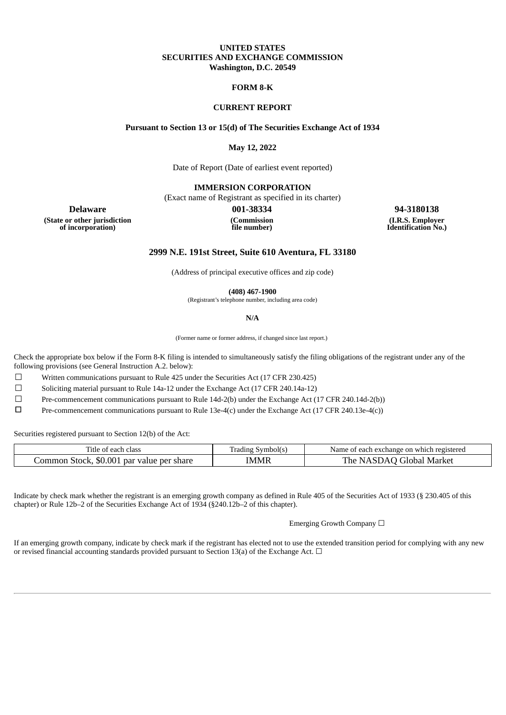### **UNITED STATES SECURITIES AND EXCHANGE COMMISSION Washington, D.C. 20549**

#### **FORM 8-K**

#### **CURRENT REPORT**

## **Pursuant to Section 13 or 15(d) of The Securities Exchange Act of 1934**

**May 12, 2022**

Date of Report (Date of earliest event reported)

**IMMERSION CORPORATION**

(Exact name of Registrant as specified in its charter)

**(Commission file number)**

**Delaware 001-38334 94-3180138 (I.R.S. Employer Identification No.)**

**(State or other jurisdiction of incorporation)**

**2999 N.E. 191st Street, Suite 610 Aventura, FL 33180**

(Address of principal executive offices and zip code)

**(408) 467-1900**

(Registrant's telephone number, including area code)

**N/A**

(Former name or former address, if changed since last report.)

Check the appropriate box below if the Form 8‑K filing is intended to simultaneously satisfy the filing obligations of the registrant under any of the following provisions (see General Instruction A.2. below):

 $\Box$  Written communications pursuant to Rule 425 under the Securities Act (17 CFR 230.425)

☐ Soliciting material pursuant to Rule 14a-12 under the Exchange Act (17 CFR 240.14a-12)

☐ Pre-commencement communications pursuant to Rule 14d-2(b) under the Exchange Act (17 CFR 240.14d-2(b))

☐ Pre-commencement communications pursuant to Rule 13e-4(c) under the Exchange Act (17 CFR 240.13e-4(c))

Securities registered pursuant to Section 12(b) of the Act:

| utle<br>class<br>each :<br>ΩT                       | Symbol(s)<br>Tradıng | of each exchange on which registered :<br>Name. |
|-----------------------------------------------------|----------------------|-------------------------------------------------|
| \$0.001<br>ommon<br>. par value per share<br>Stock, | IMMR                 | The<br>IA.<br>Global<br>Market                  |

Indicate by check mark whether the registrant is an emerging growth company as defined in Rule 405 of the Securities Act of 1933 (§ 230.405 of this chapter) or Rule 12b–2 of the Securities Exchange Act of 1934 (§240.12b–2 of this chapter).

Emerging Growth Company ☐

If an emerging growth company, indicate by check mark if the registrant has elected not to use the extended transition period for complying with any new or revised financial accounting standards provided pursuant to Section 13(a) of the Exchange Act.  $\Box$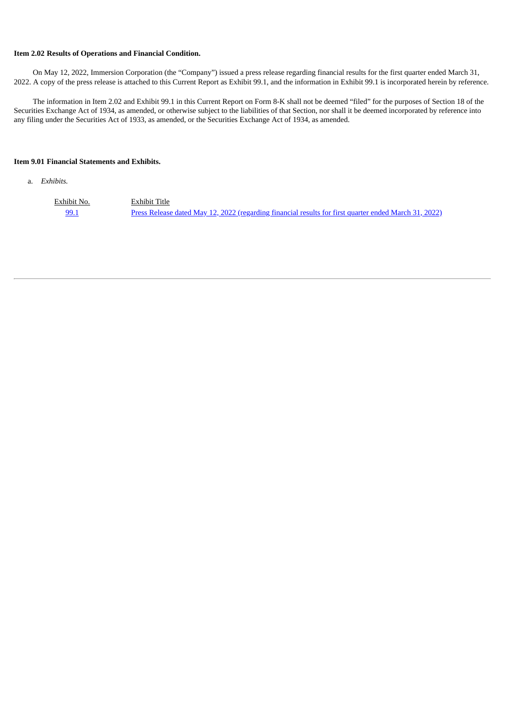## **Item 2.02 Results of Operations and Financial Condition.**

On May 12, 2022, Immersion Corporation (the "Company") issued a press release regarding financial results for the first quarter ended March 31, 2022. A copy of the press release is attached to this Current Report as Exhibit 99.1, and the information in Exhibit 99.1 is incorporated herein by reference.

The information in Item 2.02 and Exhibit 99.1 in this Current Report on Form 8-K shall not be deemed "filed" for the purposes of Section 18 of the Securities Exchange Act of 1934, as amended, or otherwise subject to the liabilities of that Section, nor shall it be deemed incorporated by reference into any filing under the Securities Act of 1933, as amended, or the Securities Exchange Act of 1934, as amended.

## **Item 9.01 Financial Statements and Exhibits.**

a. *Exhibits.*

Exhibit No. Exhibit Title [99.1](#page-3-0) Press Release dated May 12, 2022 [\(regarding](#page-3-0) financial results for first quarter ended March 31, 2022)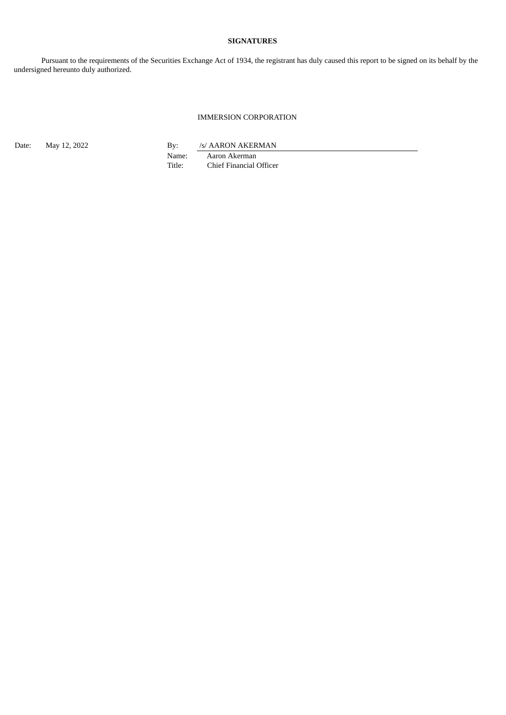## **SIGNATURES**

Pursuant to the requirements of the Securities Exchange Act of 1934, the registrant has duly caused this report to be signed on its behalf by the undersigned hereunto duly authorized.

## IMMERSION CORPORATION

Date: May 12, 2022 By: /s/ AARON AKERMAN

Name: Aaron Akerman<br>Title: Chief Financial O Chief Financial Officer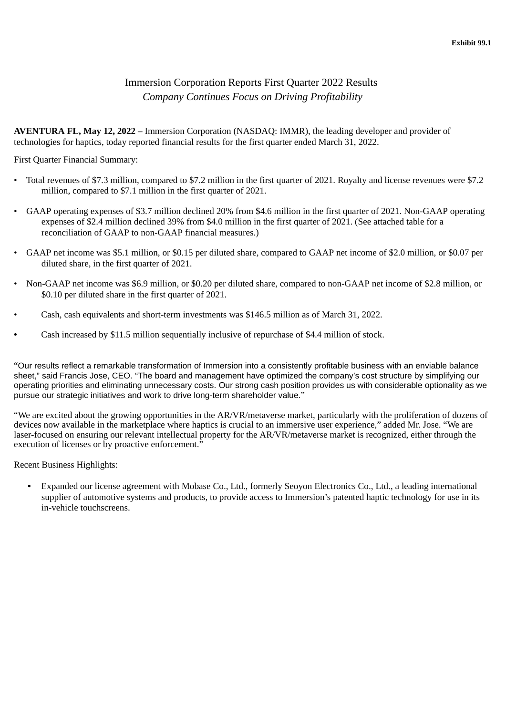# Immersion Corporation Reports First Quarter 2022 Results *Company Continues Focus on Driving Profitability*

<span id="page-3-0"></span>**AVENTURA FL, May 12, 2022 –** Immersion Corporation (NASDAQ: IMMR), the leading developer and provider of technologies for haptics, today reported financial results for the first quarter ended March 31, 2022.

First Quarter Financial Summary:

- Total revenues of \$7.3 million, compared to \$7.2 million in the first quarter of 2021. Royalty and license revenues were \$7.2 million, compared to \$7.1 million in the first quarter of 2021.
- GAAP operating expenses of \$3.7 million declined 20% from \$4.6 million in the first quarter of 2021. Non-GAAP operating expenses of \$2.4 million declined 39% from \$4.0 million in the first quarter of 2021. (See attached table for a reconciliation of GAAP to non-GAAP financial measures.)
- GAAP net income was \$5.1 million, or \$0.15 per diluted share, compared to GAAP net income of \$2.0 million, or \$0.07 per diluted share, in the first quarter of 2021.
- Non-GAAP net income was \$6.9 million, or \$0.20 per diluted share, compared to non-GAAP net income of \$2.8 million, or \$0.10 per diluted share in the first quarter of 2021.
- Cash, cash equivalents and short-term investments was \$146.5 million as of March 31, 2022.
- Cash increased by \$11.5 million sequentially inclusive of repurchase of \$4.4 million of stock.

"Our results reflect a remarkable transformation of Immersion into a consistently profitable business with an enviable balance sheet," said Francis Jose, CEO. "The board and management have optimized the company's cost structure by simplifying our operating priorities and eliminating unnecessary costs. Our strong cash position provides us with considerable optionality as we pursue our strategic initiatives and work to drive long-term shareholder value."

"We are excited about the growing opportunities in the AR/VR/metaverse market, particularly with the proliferation of dozens of devices now available in the marketplace where haptics is crucial to an immersive user experience," added Mr. Jose. "We are laser-focused on ensuring our relevant intellectual property for the AR/VR/metaverse market is recognized, either through the execution of licenses or by proactive enforcement."

Recent Business Highlights:

• Expanded our license agreement with Mobase Co., Ltd., formerly Seoyon Electronics Co., Ltd., a leading international supplier of automotive systems and products, to provide access to Immersion's patented haptic technology for use in its in-vehicle touchscreens.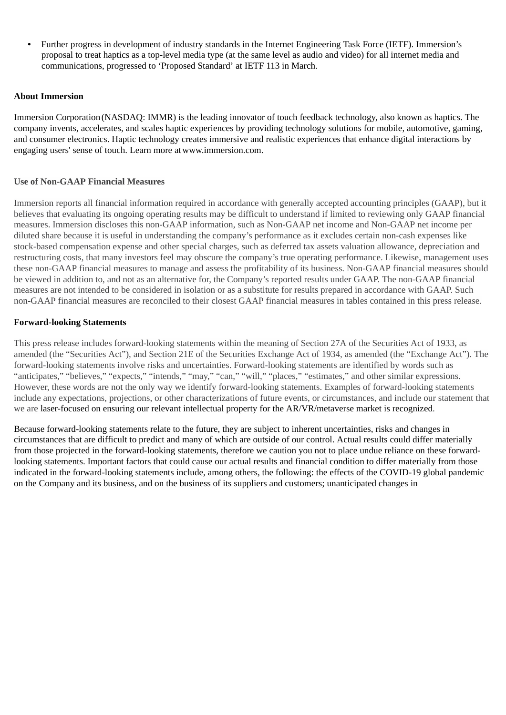• Further progress in development of industry standards in the Internet Engineering Task Force (IETF). Immersion's proposal to treat haptics as a top-level media type (at the same level as audio and video) for all internet media and communications, progressed to 'Proposed Standard' at IETF 113 in March.

# **About Immersion**

Immersion Corporation (NASDAQ: IMMR) is the leading innovator of touch feedback technology, also known as haptics. The company invents, accelerates, and scales haptic experiences by providing technology solutions for mobile, automotive, gaming, and consumer electronics. Haptic technology creates immersive and realistic experiences that enhance digital interactions by engaging users' sense of touch. Learn more at www.immersion.com.

## **Use of Non-GAAP Financial Measures**

Immersion reports all financial information required in accordance with generally accepted accounting principles (GAAP), but it believes that evaluating its ongoing operating results may be difficult to understand if limited to reviewing only GAAP financial measures. Immersion discloses this non-GAAP information, such as Non-GAAP net income and Non-GAAP net income per diluted share because it is useful in understanding the company's performance as it excludes certain non-cash expenses like stock-based compensation expense and other special charges, such as deferred tax assets valuation allowance, depreciation and restructuring costs, that many investors feel may obscure the company's true operating performance. Likewise, management uses these non-GAAP financial measures to manage and assess the profitability of its business. Non-GAAP financial measures should be viewed in addition to, and not as an alternative for, the Company's reported results under GAAP. The non-GAAP financial measures are not intended to be considered in isolation or as a substitute for results prepared in accordance with GAAP. Such non-GAAP financial measures are reconciled to their closest GAAP financial measures in tables contained in this press release.

# **Forward-looking Statements**

This press release includes forward-looking statements within the meaning of Section 27A of the Securities Act of 1933, as amended (the "Securities Act"), and Section 21E of the Securities Exchange Act of 1934, as amended (the "Exchange Act"). The forward-looking statements involve risks and uncertainties. Forward-looking statements are identified by words such as "anticipates," "believes," "expects," "intends," "may," "can," "will," "places," "estimates," and other similar expressions. However, these words are not the only way we identify forward-looking statements. Examples of forward-looking statements include any expectations, projections, or other characterizations of future events, or circumstances, and include our statement that we are laser-focused on ensuring our relevant intellectual property for the AR/VR/metaverse market is recognized.

Because forward-looking statements relate to the future, they are subject to inherent uncertainties, risks and changes in circumstances that are difficult to predict and many of which are outside of our control. Actual results could differ materially from those projected in the forward-looking statements, therefore we caution you not to place undue reliance on these forwardlooking statements. Important factors that could cause our actual results and financial condition to differ materially from those indicated in the forward-looking statements include, among others, the following: the effects of the COVID-19 global pandemic on the Company and its business, and on the business of its suppliers and customers; unanticipated changes in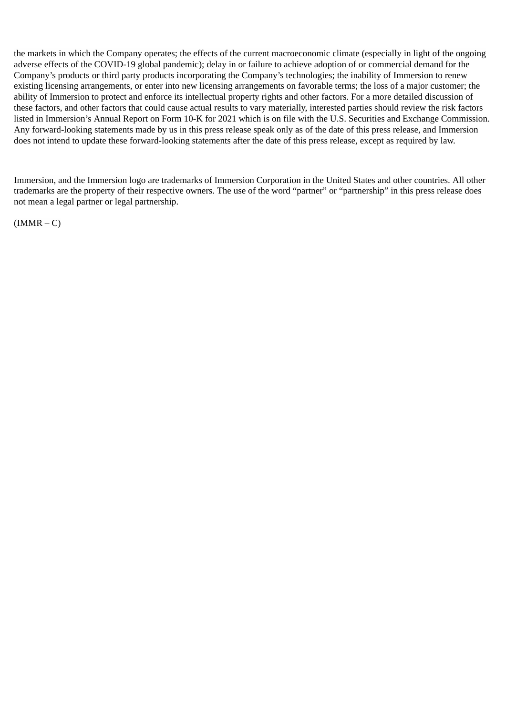the markets in which the Company operates; the effects of the current macroeconomic climate (especially in light of the ongoing adverse effects of the COVID-19 global pandemic); delay in or failure to achieve adoption of or commercial demand for the Company's products or third party products incorporating the Company's technologies; the inability of Immersion to renew existing licensing arrangements, or enter into new licensing arrangements on favorable terms; the loss of a major customer; the ability of Immersion to protect and enforce its intellectual property rights and other factors. For a more detailed discussion of these factors, and other factors that could cause actual results to vary materially, interested parties should review the risk factors listed in Immersion's Annual Report on Form 10-K for 2021 which is on file with the U.S. Securities and Exchange Commission. Any forward-looking statements made by us in this press release speak only as of the date of this press release, and Immersion does not intend to update these forward-looking statements after the date of this press release, except as required by law.

Immersion, and the Immersion logo are trademarks of Immersion Corporation in the United States and other countries. All other trademarks are the property of their respective owners. The use of the word "partner" or "partnership" in this press release does not mean a legal partner or legal partnership.

 $(IMMR - C)$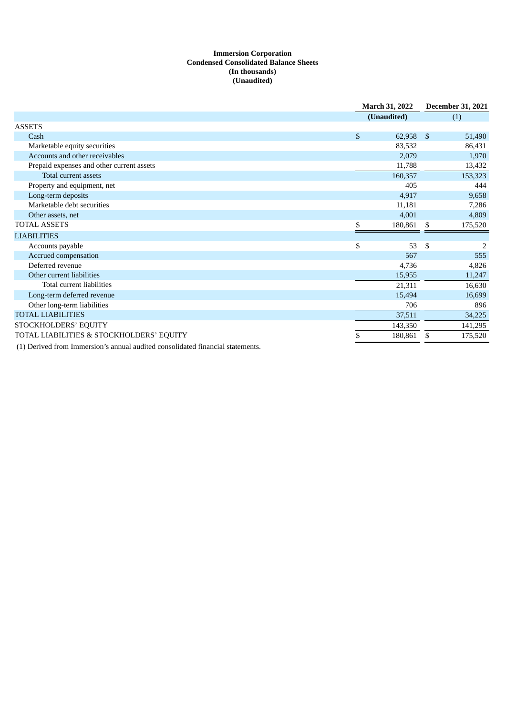## **Immersion Corporation Condensed Consolidated Balance Sheets (In thousands) (Unaudited)**

|                                           | <b>March 31, 2022</b> | <b>December 31, 2021</b> |  |
|-------------------------------------------|-----------------------|--------------------------|--|
|                                           | (Unaudited)           | (1)                      |  |
| <b>ASSETS</b>                             |                       |                          |  |
| Cash                                      | \$<br>62,958          | -\$<br>51,490            |  |
| Marketable equity securities              | 83,532                | 86,431                   |  |
| Accounts and other receivables            | 2,079                 | 1,970                    |  |
| Prepaid expenses and other current assets | 11,788                | 13,432                   |  |
| Total current assets                      | 160,357               | 153,323                  |  |
| Property and equipment, net               | 405                   | 444                      |  |
| Long-term deposits                        | 4,917                 | 9,658                    |  |
| Marketable debt securities                | 11,181                | 7,286                    |  |
| Other assets, net                         | 4,001                 | 4,809                    |  |
| <b>TOTAL ASSETS</b>                       | \$<br>180,861         | \$<br>175,520            |  |
| <b>LIABILITIES</b>                        |                       |                          |  |
| Accounts payable                          | \$<br>53              | \$<br>2                  |  |
| Accrued compensation                      | 567                   | 555                      |  |
| Deferred revenue                          | 4,736                 | 4,826                    |  |
| Other current liabilities                 | 15,955                | 11,247                   |  |
| Total current liabilities                 | 21,311                | 16,630                   |  |
| Long-term deferred revenue                | 15,494                | 16,699                   |  |
| Other long-term liabilities               | 706                   | 896                      |  |
| <b>TOTAL LIABILITIES</b>                  | 37,511                | 34,225                   |  |
| STOCKHOLDERS' EQUITY                      | 143,350               | 141,295                  |  |
| TOTAL LIABILITIES & STOCKHOLDERS' EQUITY  | 180,861<br>\$         | 175,520<br>S             |  |
|                                           |                       |                          |  |

(1) Derived from Immersion's annual audited consolidated financial statements.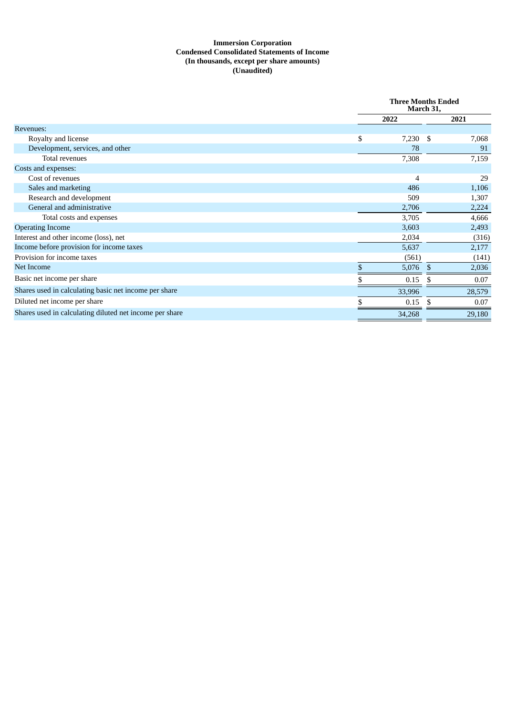## **Immersion Corporation Condensed Consolidated Statements of Income (In thousands, except per share amounts) (Unaudited)**

|                                                         |      | <b>Three Months Ended</b><br>March 31, |              |        |
|---------------------------------------------------------|------|----------------------------------------|--------------|--------|
|                                                         | 2022 |                                        |              | 2021   |
| Revenues:                                               |      |                                        |              |        |
| Royalty and license                                     | \$   | 7,230                                  | -S           | 7,068  |
| Development, services, and other                        |      | 78                                     |              | 91     |
| Total revenues                                          |      | 7,308                                  |              | 7,159  |
| Costs and expenses:                                     |      |                                        |              |        |
| Cost of revenues                                        |      | $\overline{4}$                         |              | 29     |
| Sales and marketing                                     |      | 486                                    |              | 1,106  |
| Research and development                                |      | 509                                    |              | 1,307  |
| General and administrative                              |      | 2,706                                  |              | 2,224  |
| Total costs and expenses                                |      | 3,705                                  |              | 4,666  |
| <b>Operating Income</b>                                 |      | 3,603                                  |              | 2,493  |
| Interest and other income (loss), net                   |      | 2,034                                  |              | (316)  |
| Income before provision for income taxes                |      | 5,637                                  |              | 2,177  |
| Provision for income taxes                              |      | (561)                                  |              | (141)  |
| Net Income                                              |      | 5,076                                  | $\mathbb{S}$ | 2,036  |
| Basic net income per share                              |      | 0.15                                   | \$.          | 0.07   |
| Shares used in calculating basic net income per share   |      | 33,996                                 |              | 28,579 |
| Diluted net income per share                            |      | 0.15                                   | -S           | 0.07   |
| Shares used in calculating diluted net income per share |      | 34,268                                 |              | 29,180 |
|                                                         |      |                                        |              |        |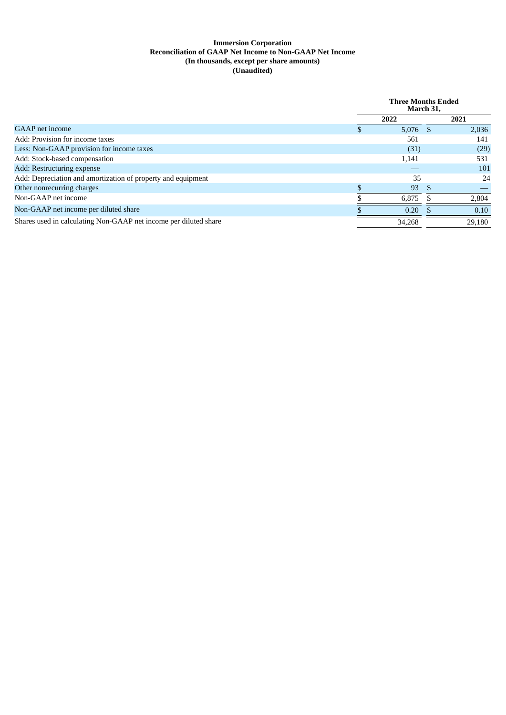### **Immersion Corporation Reconciliation of GAAP Net Income to Non-GAAP Net Income (In thousands, except per share amounts) (Unaudited)**

|                                                                  | <b>Three Months Ended</b><br>March 31. |      |        |
|------------------------------------------------------------------|----------------------------------------|------|--------|
|                                                                  | 2022                                   |      | 2021   |
| GAAP net income                                                  | 5,076                                  | - \$ | 2,036  |
| Add: Provision for income taxes                                  | 561                                    |      | 141    |
| Less: Non-GAAP provision for income taxes                        | (31)                                   |      | (29)   |
| Add: Stock-based compensation                                    | 1,141                                  |      | 531    |
| Add: Restructuring expense                                       |                                        |      | 101    |
| Add: Depreciation and amortization of property and equipment     | 35                                     |      | 24     |
| Other nonrecurring charges                                       | 93                                     |      |        |
| Non-GAAP net income                                              | 6.875                                  |      | 2,804  |
| Non-GAAP net income per diluted share                            | 0.20                                   |      | 0.10   |
| Shares used in calculating Non-GAAP net income per diluted share | 34.268                                 |      | 29.180 |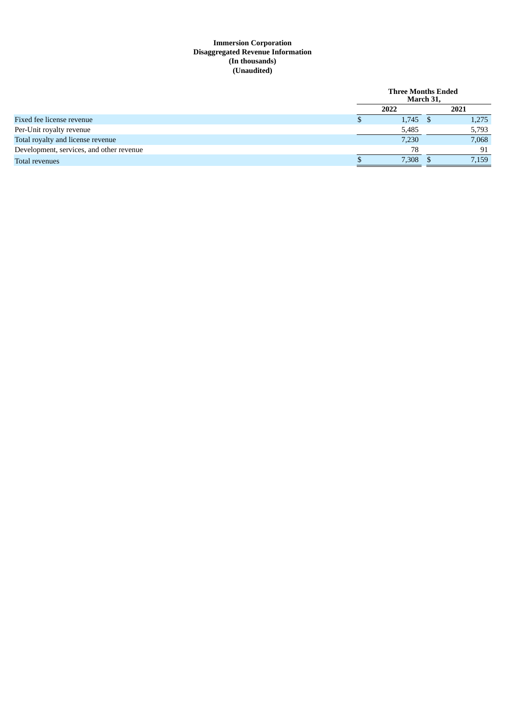## **Immersion Corporation Disaggregated Revenue Information (In thousands) (Unaudited)**

|                                          | <b>Three Months Ended</b><br>March 31, |  |       |
|------------------------------------------|----------------------------------------|--|-------|
|                                          | 2022                                   |  | 2021  |
| Fixed fee license revenue                | 1,745                                  |  | 1,275 |
| Per-Unit royalty revenue                 | 5,485                                  |  | 5,793 |
| Total royalty and license revenue        | 7,230                                  |  | 7,068 |
| Development, services, and other revenue | 78                                     |  | 91    |
| Total revenues                           | 7,308                                  |  | 7,159 |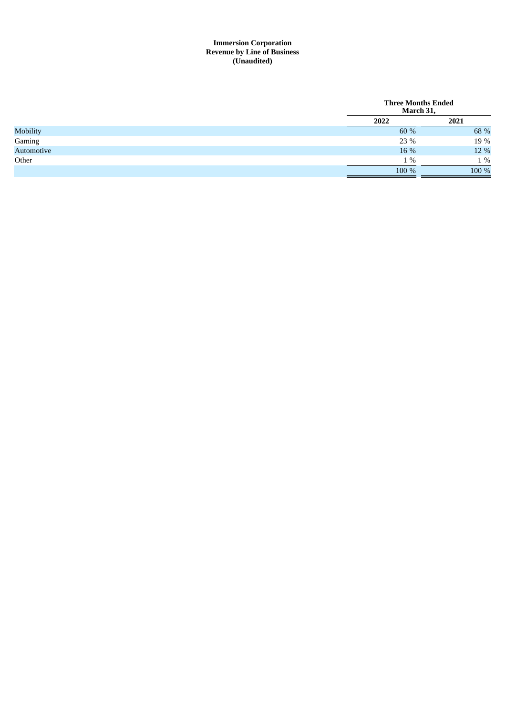### **Immersion Corporation Revenue by Line of Business ( U n a u d i t e d )**

|            | <b>Three Months Ended</b><br>March 31, |       |  |
|------------|----------------------------------------|-------|--|
|            | 2022                                   | 2021  |  |
| Mobility   | 60 %                                   | 68 %  |  |
| Gaming     | 23 %                                   | 19 %  |  |
| Automotive | 16 %                                   | 12 %  |  |
| Other      | $1\%$                                  | 1 %   |  |
|            | 100 %                                  | 100 % |  |